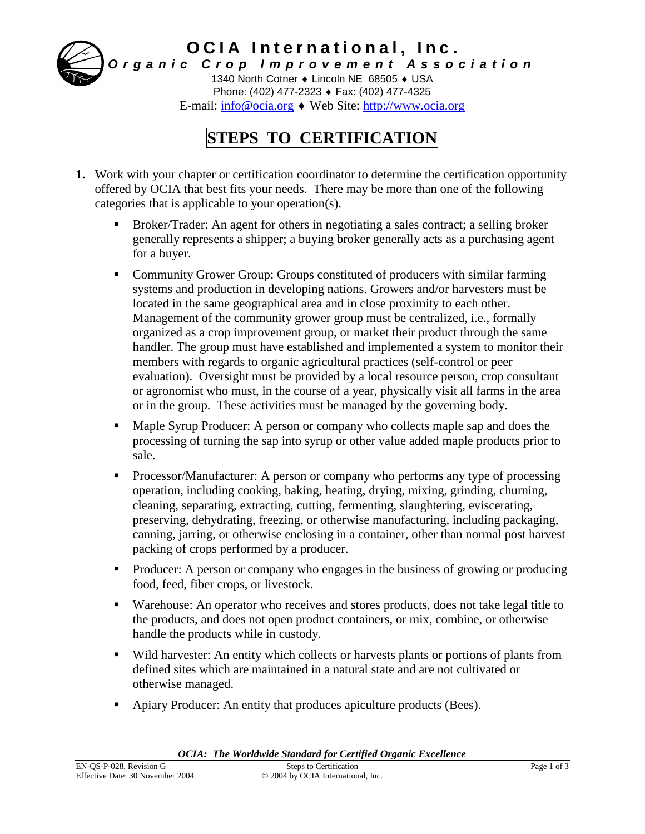

## **STEPS TO CERTIFICATION**

- **1.** Work with your chapter or certification coordinator to determine the certification opportunity offered by OCIA that best fits your needs. There may be more than one of the following categories that is applicable to your operation(s).
	- Broker/Trader: An agent for others in negotiating a sales contract; a selling broker generally represents a shipper; a buying broker generally acts as a purchasing agent for a buyer.
	- Community Grower Group: Groups constituted of producers with similar farming systems and production in developing nations. Growers and/or harvesters must be located in the same geographical area and in close proximity to each other. Management of the community grower group must be centralized, i.e., formally organized as a crop improvement group, or market their product through the same handler. The group must have established and implemented a system to monitor their members with regards to organic agricultural practices (self-control or peer evaluation). Oversight must be provided by a local resource person, crop consultant or agronomist who must, in the course of a year, physically visit all farms in the area or in the group. These activities must be managed by the governing body.
	- Maple Syrup Producer: A person or company who collects maple sap and does the processing of turning the sap into syrup or other value added maple products prior to sale.
	- Processor/Manufacturer: A person or company who performs any type of processing operation, including cooking, baking, heating, drying, mixing, grinding, churning, cleaning, separating, extracting, cutting, fermenting, slaughtering, eviscerating, preserving, dehydrating, freezing, or otherwise manufacturing, including packaging, canning, jarring, or otherwise enclosing in a container, other than normal post harvest packing of crops performed by a producer.
	- Producer: A person or company who engages in the business of growing or producing food, feed, fiber crops, or livestock.
	- Warehouse: An operator who receives and stores products, does not take legal title to the products, and does not open product containers, or mix, combine, or otherwise handle the products while in custody.
	- Wild harvester: An entity which collects or harvests plants or portions of plants from defined sites which are maintained in a natural state and are not cultivated or otherwise managed.
	- Apiary Producer: An entity that produces apiculture products (Bees).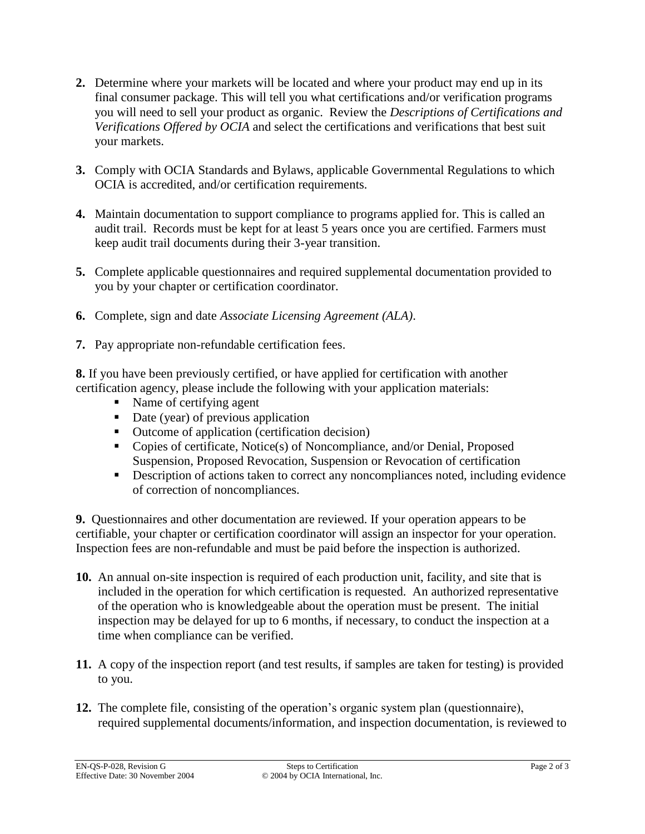- **2.** Determine where your markets will be located and where your product may end up in its final consumer package. This will tell you what certifications and/or verification programs you will need to sell your product as organic. Review the *Descriptions of Certifications and Verifications Offered by OCIA* and select the certifications and verifications that best suit your markets.
- **3.** Comply with OCIA Standards and Bylaws, applicable Governmental Regulations to which OCIA is accredited, and/or certification requirements*.*
- **4.** Maintain documentation to support compliance to programs applied for. This is called an audit trail. Records must be kept for at least 5 years once you are certified. Farmers must keep audit trail documents during their 3-year transition.
- **5.** Complete applicable questionnaires and required supplemental documentation provided to you by your chapter or certification coordinator.
- **6.** Complete, sign and date *Associate Licensing Agreement (ALA)*.
- **7.** Pay appropriate non-refundable certification fees.

**8.** If you have been previously certified, or have applied for certification with another certification agency, please include the following with your application materials:

- Name of certifying agent
- Date (year) of previous application
- Outcome of application (certification decision)
- Copies of certificate, Notice(s) of Noncompliance, and/or Denial, Proposed Suspension, Proposed Revocation, Suspension or Revocation of certification
- Description of actions taken to correct any noncompliances noted, including evidence of correction of noncompliances.

**9.** Questionnaires and other documentation are reviewed. If your operation appears to be certifiable, your chapter or certification coordinator will assign an inspector for your operation. Inspection fees are non-refundable and must be paid before the inspection is authorized.

- **10.** An annual on-site inspection is required of each production unit, facility, and site that is included in the operation for which certification is requested. An authorized representative of the operation who is knowledgeable about the operation must be present. The initial inspection may be delayed for up to 6 months, if necessary, to conduct the inspection at a time when compliance can be verified.
- **11.** A copy of the inspection report (and test results, if samples are taken for testing) is provided to you.
- **12.** The complete file, consisting of the operation's organic system plan (questionnaire), required supplemental documents/information, and inspection documentation, is reviewed to